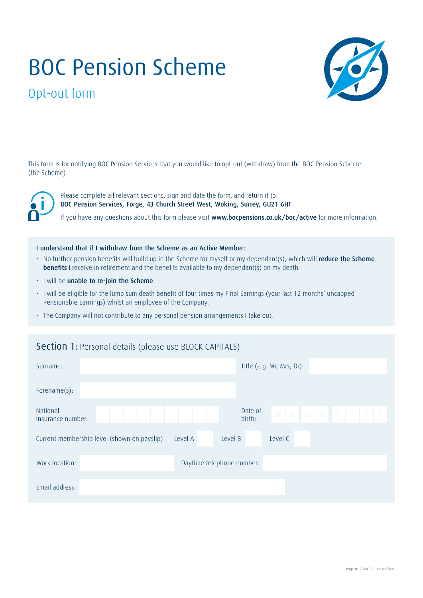# BOC Pension Scheme



# Opt-out form

This form is for notifying BOC Pension Services that you would like to opt-out (withdraw) from the BOC Pension Scheme (the Scheme).

Please complete all relevant sections, sign and date the form, and return it to: BOC Pension Services, Forge, 43 Church Street West, Woking, Surrey, GU21 6HT

If you have any questions about this form please visit www.bocpensions.co.uk/boc/active for more information.

#### I understand that if I withdraw from the Scheme as an Active Member:

- No further pension benefits will build up in the Scheme for myself or my dependant(s), which will reduce the Scheme **benefits** I receive in retirement and the benefits available to my dependant(s) on my death.
- I will be unable to re-join the Scheme.
- I will be eligible for the lump sum death benefit of four times my Final Earnings (your last 12 months' uncapped Pensionable Earnings) whilst an employee of the Company.
- The Company will not contribute to any personal pension arrangements I take out.

#### Section 1: Personal details (please use BLOCK CAPITALS)

| Surname:                                                           | Title (e.g. Mr, Mrs, Dr):                        |
|--------------------------------------------------------------------|--------------------------------------------------|
| Forename(s):                                                       |                                                  |
| National<br>Insurance number:                                      | Date of<br>$D$ $D$ $M$ $M$ $Y$ $Y$ $Y$<br>birth: |
| Current membership level (shown on payslip):<br>Level B<br>Level A | Level C                                          |
| Work location:<br>Daytime telephone number:                        |                                                  |
| Email address:                                                     |                                                  |